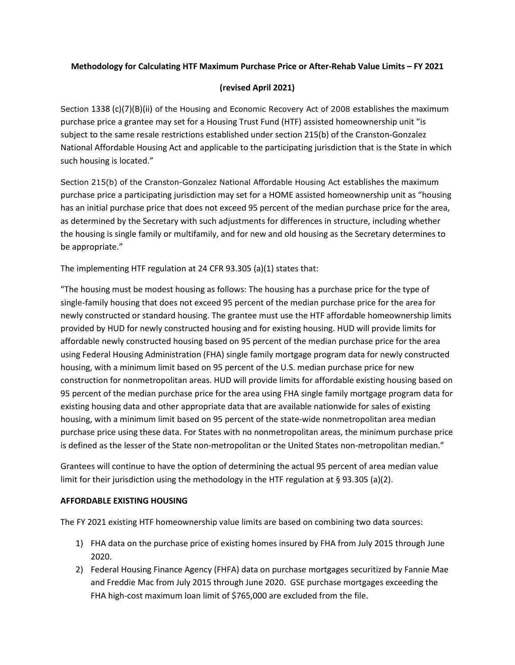## **Methodology for Calculating HTF Maximum Purchase Price or After-Rehab Value Limits – FY 2021**

## **(revised April 2021)**

Section 1338 (c)(7)(B)(ii) of the Housing and Economic Recovery Act of 2008 establishes the maximum purchase price a grantee may set for a Housing Trust Fund (HTF) assisted homeownership unit "is subject to the same resale restrictions established under section 215(b) of the Cranston-Gonzalez National Affordable Housing Act and applicable to the participating jurisdiction that is the State in which such housing is located."

Section 215(b) of the Cranston-Gonzalez National Affordable Housing Act establishes the maximum purchase price a participating jurisdiction may set for a HOME assisted homeownership unit as "housing has an initial purchase price that does not exceed 95 percent of the median purchase price for the area, as determined by the Secretary with such adjustments for differences in structure, including whether the housing is single family or multifamily, and for new and old housing as the Secretary determines to be appropriate."

The implementing HTF regulation at 24 CFR 93.305 (a)(1) states that:

"The housing must be modest housing as follows: The housing has a purchase price for the type of single-family housing that does not exceed 95 percent of the median purchase price for the area for newly constructed or standard housing. The grantee must use the HTF affordable homeownership limits provided by HUD for newly constructed housing and for existing housing. HUD will provide limits for affordable newly constructed housing based on 95 percent of the median purchase price for the area using Federal Housing Administration (FHA) single family mortgage program data for newly constructed housing, with a minimum limit based on 95 percent of the U.S. median purchase price for new construction for nonmetropolitan areas. HUD will provide limits for affordable existing housing based on 95 percent of the median purchase price for the area using FHA single family mortgage program data for existing housing data and other appropriate data that are available nationwide for sales of existing housing, with a minimum limit based on 95 percent of the state-wide nonmetropolitan area median purchase price using these data. For States with no nonmetropolitan areas, the minimum purchase price is defined as the lesser of the State non-metropolitan or the United States non-metropolitan median."

Grantees will continue to have the option of determining the actual 95 percent of area median value limit for their jurisdiction using the methodology in the HTF regulation at § 93.305 (a)(2).

## **AFFORDABLE EXISTING HOUSING**

The FY 2021 existing HTF homeownership value limits are based on combining two data sources:

- 1) FHA data on the purchase price of existing homes insured by FHA from July 2015 through June 2020.
- 2) Federal Housing Finance Agency (FHFA) data on purchase mortgages securitized by Fannie Mae and Freddie Mac from July 2015 through June 2020. GSE purchase mortgages exceeding the FHA high-cost maximum loan limit of \$765,000 are excluded from the file.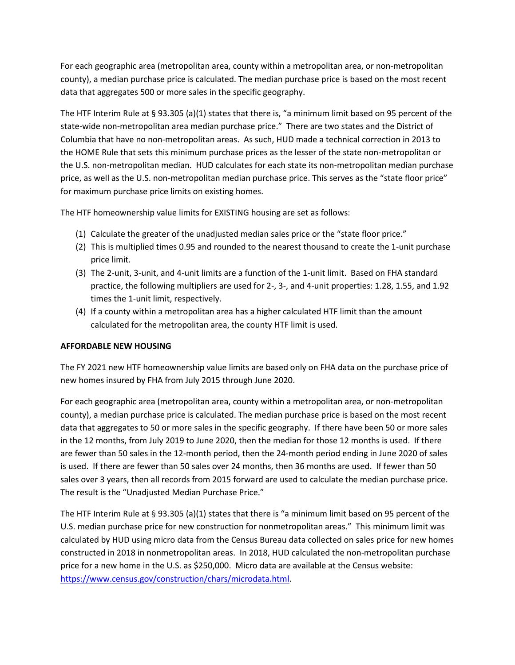For each geographic area (metropolitan area, county within a metropolitan area, or non-metropolitan county), a median purchase price is calculated. The median purchase price is based on the most recent data that aggregates 500 or more sales in the specific geography.

The HTF Interim Rule at § 93.305 (a)(1) states that there is, "a minimum limit based on 95 percent of the state-wide non-metropolitan area median purchase price." There are two states and the District of Columbia that have no non-metropolitan areas. As such, HUD made a technical correction in 2013 to the HOME Rule that sets this minimum purchase prices as the lesser of the state non-metropolitan or the U.S. non-metropolitan median. HUD calculates for each state its non-metropolitan median purchase price, as well as the U.S. non-metropolitan median purchase price. This serves as the "state floor price" for maximum purchase price limits on existing homes.

The HTF homeownership value limits for EXISTING housing are set as follows:

- (1) Calculate the greater of the unadjusted median sales price or the "state floor price."
- (2) This is multiplied times 0.95 and rounded to the nearest thousand to create the 1-unit purchase price limit.
- (3) The 2-unit, 3-unit, and 4-unit limits are a function of the 1-unit limit. Based on FHA standard practice, the following multipliers are used for 2-, 3-, and 4-unit properties: 1.28, 1.55, and 1.92 times the 1-unit limit, respectively.
- (4) If a county within a metropolitan area has a higher calculated HTF limit than the amount calculated for the metropolitan area, the county HTF limit is used.

## **AFFORDABLE NEW HOUSING**

The FY 2021 new HTF homeownership value limits are based only on FHA data on the purchase price of new homes insured by FHA from July 2015 through June 2020.

For each geographic area (metropolitan area, county within a metropolitan area, or non-metropolitan county), a median purchase price is calculated. The median purchase price is based on the most recent data that aggregates to 50 or more sales in the specific geography. If there have been 50 or more sales in the 12 months, from July 2019 to June 2020, then the median for those 12 months is used. If there are fewer than 50 sales in the 12-month period, then the 24-month period ending in June 2020 of sales is used. If there are fewer than 50 sales over 24 months, then 36 months are used. If fewer than 50 sales over 3 years, then all records from 2015 forward are used to calculate the median purchase price. The result is the "Unadjusted Median Purchase Price."

The HTF Interim Rule at § 93.305 (a)(1) states that there is "a minimum limit based on 95 percent of the U.S. median purchase price for new construction for nonmetropolitan areas." This minimum limit was calculated by HUD using micro data from the Census Bureau data collected on sales price for new homes constructed in 2018 in nonmetropolitan areas. In 2018, HUD calculated the non-metropolitan purchase price for a new home in the U.S. as \$250,000. Micro data are available at the Census website: [https://www.census.gov/construction/chars/microdata.html.](https://www.census.gov/construction/chars/microdata.html)